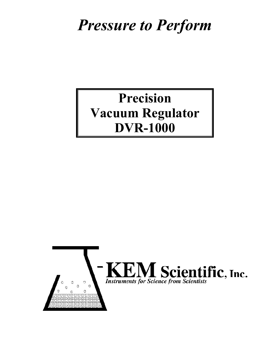# *Pressure to Perform*

# **Precision Vacuum Regulator DVR-1000**

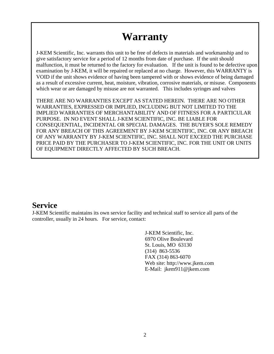# **Warranty**

J-KEM Scientific, Inc. warrants this unit to be free of defects in materials and workmanship and to give satisfactory service for a period of 12 months from date of purchase. If the unit should malfunction, it must be returned to the factory for evaluation. If the unit is found to be defective upon examination by J-KEM, it will be repaired or replaced at no charge. However, this WARRANTY is VOID if the unit shows evidence of having been tampered with or shows evidence of being damaged as a result of excessive current, heat, moisture, vibration, corrosive materials, or misuse. Components which wear or are damaged by misuse are not warranted. This includes syringes and valves

THERE ARE NO WARRANTIES EXCEPT AS STATED HEREIN. THERE ARE NO OTHER WARRANTIES, EXPRESSED OR IMPLIED, INCLUDING BUT NOT LIMITED TO THE IMPLIED WARRANTIES OF MERCHANTABILITY AND OF FITNESS FOR A PARTICULAR PURPOSE. IN NO EVENT SHALL J-KEM SCIENTIFIC, INC. BE LIABLE FOR CONSEQUENTIAL, INCIDENTAL OR SPECIAL DAMAGES. THE BUYER'S SOLE REMEDY FOR ANY BREACH OF THIS AGREEMENT BY J-KEM SCIENTIFIC, INC. OR ANY BREACH OF ANY WARRANTY BY J-KEM SCIENTIFIC, INC. SHALL NOT EXCEED THE PURCHASE PRICE PAID BY THE PURCHASER TO J-KEM SCIENTIFIC, INC. FOR THE UNIT OR UNITS OF EQUIPMENT DIRECTLY AFFECTED BY SUCH BREACH.

#### **Service**

J-KEM Scientific maintains its own service facility and technical staff to service all parts of the controller, usually in 24 hours. For service, contact:

> J-KEM Scientific, Inc. 6970 Olive Boulevard St. Louis, MO 63130 (314) 863-5536 FAX (314) 863-6070 Web site: http://www.jkem.com E-Mail: jkem911@jkem.com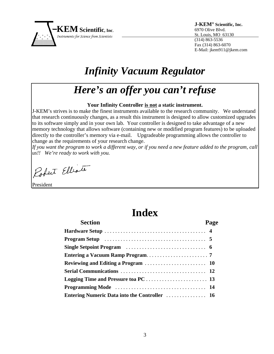

**J-KEM® Scientific, Inc.**  6970 Olive Blvd. St. Louis, MO 63130 (314) 863-5536 Fax (314) 863-6070 E-Mail: jkem911@jkem.com

# *Infinity Vacuum Regulator*

# *Here's an offer you can't refuse*

#### **Your Infinity Controller is not a static instrument.**

J-KEM's strives is to make the finest instruments available to the research community. We understand that research continuously changes, as a result this instrument is designed to allow customized upgrades to its software simply and in your own lab. Your controller is designed to take advantage of a new memory technology that allows software (containing new or modified program features) to be uploaded directly to the controller's memory via e-mail. Upgradeable programming allows the controller to change as the requirements of your research change.

*If you want the program to work a different way, or if you need a new feature added to the program, call us!! We're ready to work with you.*

Robert Elliote

President

## **Index**

| <b>Section</b>                                                                                       | Page |
|------------------------------------------------------------------------------------------------------|------|
|                                                                                                      |      |
| <b>Program Setup</b> $\dots \dots \dots \dots \dots \dots \dots \dots \dots \dots \dots \dots \dots$ |      |
|                                                                                                      |      |
|                                                                                                      |      |
|                                                                                                      |      |
|                                                                                                      |      |
|                                                                                                      |      |
|                                                                                                      |      |
|                                                                                                      |      |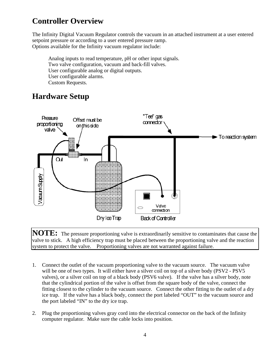## **Controller Overview**

The Infinity Digital Vacuum Regulator controls the vacuum in an attached instrument at a user entered setpoint pressure or according to a user entered pressure ramp. Options available for the Infinity vacuum regulator include:

Analog inputs to read temperature, pH or other input signals. Two valve configuration, vacuum and back-fill valves. User configurable analog or digital outputs. User configurable alarms. Custom Requests.

#### **Hardware Setup**



**NOTE:** The pressure proportioning valve is extraordinarily sensitive to contaminates that cause the valve to stick. A high efficiency trap must be placed between the proportioning valve and the reaction system to protect the valve. Proportioning valves are not warranted against failure.

- 1. Connect the outlet of the vacuum proportioning valve to the vacuum source. The vacuum valve will be one of two types. It will either have a silver coil on top of a silver body (PSV2 - PSV5 valves), or a silver coil on top of a black body (PSV6 valve). If the valve has a silver body, note that the cylindrical portion of the valve is offset from the square body of the valve, connect the fitting closest to the cylinder to the vacuum source. Connect the other fitting to the outlet of a dry ice trap. If the valve has a black body, connect the port labeled "OUT" to the vacuum source and the port labeled "IN" to the dry ice trap.
- 2. Plug the proportioning valves gray cord into the electrical connector on the back of the Infinity computer regulator. Make sure the cable locks into position.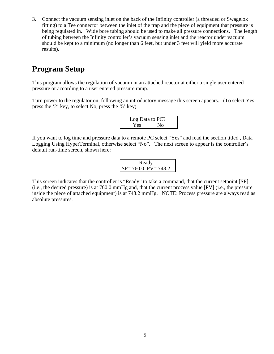3. Connect the vacuum sensing inlet on the back of the Infinity controller (a threaded or Swagelok fitting) to a Tee connector between the inlet of the trap and the piece of equipment that pressure is being regulated in. Wide bore tubing should be used to make all pressure connections. The length of tubing between the Infinity controller's vacuum sensing inlet and the reactor under vacuum should be kept to a minimum (no longer than 6 feet, but under 3 feet will yield more accurate results).

#### **Program Setup**

This program allows the regulation of vacuum in an attached reactor at either a single user entered pressure or according to a user entered pressure ramp.

Turn power to the regulator on, following an introductory message this screen appears. (To select Yes, press the '2' key, to select No, press the '5' key).

| Log Data to PC? |    |  |
|-----------------|----|--|
| Yes             | No |  |

If you want to log time and pressure data to a remote PC select "Yes" and read the section titled , Data Logging Using HyperTerminal, otherwise select "No". The next screen to appear is the controller's default run-time screen, shown here:

| Ready                   |  |
|-------------------------|--|
| $SP = 760.0$ PV = 748.2 |  |

This screen indicates that the controller is "Ready" to take a command, that the current setpoint [SP] (i.e., the desired pressure) is at 760.0 mmHg and, that the current process value [PV] (i.e., the pressure inside the piece of attached equipment) is at 748.2 mmHg. NOTE: Process pressure are always read as absolute pressures.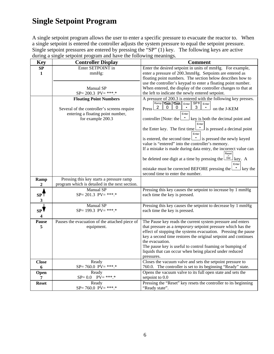#### **Single Setpoint Program**

A single setpoint program allows the user to enter a specific pressure to evacuate the reactor to. When a single setpoint is entered the controller adjusts the system pressure to equal the setpoint pressure. Single setpoint pressures are entered by pressing the "SP" (1) key. The following keys are active during a single setpoint program and have the following meanings.

| <b>Key</b>              | <b>Controller Display</b>                                    | <b>Comment</b>                                                                                                                    |
|-------------------------|--------------------------------------------------------------|-----------------------------------------------------------------------------------------------------------------------------------|
| <b>SP</b>               | Enter SETPOINT in                                            | Enter the desired setpoint in units of mmHg. For example,                                                                         |
| 1                       | mmHg:                                                        | enter a pressure of 200.3mmHg. Setpoints are entered as                                                                           |
|                         |                                                              | floating point numbers. The section below describes how to                                                                        |
|                         |                                                              | use the controller's keypad to enter a floating point number.                                                                     |
|                         | Manual SP                                                    | When entered, the display of the controller changes to that at                                                                    |
|                         | $SP = 200.3$ $PV = ****.*$                                   | the left to indicate the newly entered setpoint.                                                                                  |
|                         | <b>Floating Point Numbers</b>                                | A pressure of 200.3 is entered with the following key presses.                                                                    |
|                         |                                                              | Ramp <b>Take</b> Take Enter SP <sup>4</sup> Enter<br>$\overline{2}$<br>0<br>0<br>3.                                               |
|                         | Several of the controller's screens require                  | on the J-KEM<br>Press l                                                                                                           |
|                         | entering a floating point number,                            | Enter                                                                                                                             |
|                         | for example 200.3                                            | controller [Note: the l<br>key is both the decimal point and                                                                      |
|                         |                                                              | Enter<br>$\perp$ is pressed a decimal point<br>the Enter key. The first time                                                      |
|                         |                                                              | Enter                                                                                                                             |
|                         |                                                              | is entered, the second time $\boxed{\phantom{a}}$ is pressed the newly keyed                                                      |
|                         |                                                              | value is "entered" into the controller's memory.                                                                                  |
|                         |                                                              | If a mistake is made during data entry, the incorrect value can                                                                   |
|                         |                                                              | Reset                                                                                                                             |
|                         |                                                              | Del<br>be deleted one digit at a time by pressing the<br>key. A                                                                   |
|                         |                                                              | Enter                                                                                                                             |
|                         |                                                              | $\mathbf{\cdot}$ key the<br>mistake must be corrected BEFORE pressing the $\mathsf{\mathsf{L}}$                                   |
|                         |                                                              | second time to enter the number.                                                                                                  |
| Ramp                    | Pressing this key starts a pressure ramp                     |                                                                                                                                   |
| $\boldsymbol{2}$        | program which is detailed in the next section.               |                                                                                                                                   |
|                         | Manual SP<br>$SP = 201.3$ $PV = ****.*$                      | Pressing this key causes the setpoint to increase by 1 mmHg                                                                       |
| SPT                     |                                                              | each time the key is pressed.                                                                                                     |
| 3                       |                                                              |                                                                                                                                   |
|                         | Manual SP<br>$SP = 199.3$ $PV = ****.*$                      | Pressing this key causes the setpoint to decrease by 1 mmHg                                                                       |
| SPV                     |                                                              | each time the key is pressed.                                                                                                     |
| $\overline{\mathbf{4}}$ |                                                              |                                                                                                                                   |
| Pause<br>5              | Pauses the evacuation of the attached piece of<br>equipment. | The Pause key reads the current system pressure and enters<br>that pressure as a <i>temporary</i> setpoint pressure which has the |
|                         |                                                              | effect of stopping the systems evacuation. Pressing the pause                                                                     |
|                         |                                                              | key a second time restores the original setpoint and continues                                                                    |
|                         |                                                              | the evacuation.                                                                                                                   |
|                         |                                                              | The pause key is useful to control foaming or bumping of                                                                          |
|                         |                                                              | liquids that can occur when being placed under reduced                                                                            |
|                         |                                                              | pressures.                                                                                                                        |
| <b>Close</b>            | Ready                                                        | Closes the vacuum valve and sets the setpoint pressure to                                                                         |
| 6                       | $SP = 760.0$ $PV = ****.*$                                   | 760.0. The controller is set to its beginning "Ready" state.                                                                      |
| Open                    | Ready                                                        | Opens the vacuum valve to its full open state and sets the                                                                        |
| $\overline{7}$          | $SP = 0.0$ $PV = ****.*$                                     | setpoint to 0.0                                                                                                                   |
| <b>Reset</b>            | Ready                                                        | Pressing the "Reset" key resets the controller to its beginning                                                                   |
|                         | $SP = 760.0$ $PV = ****.*$                                   | "Ready state".                                                                                                                    |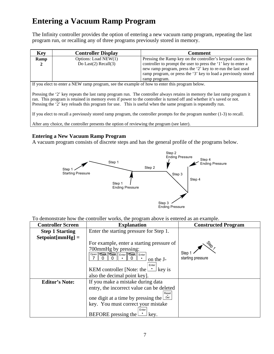### **Entering a Vacuum Ramp Program**

The Infinity controller provides the option of entering a new vacuum ramp program, repeating the last program run, or recalling any of three programs previously stored in memory.

| <b>Key</b> | <b>Controller Display</b>  | <b>Comment</b>                                                                                                                                                                                                  |
|------------|----------------------------|-----------------------------------------------------------------------------------------------------------------------------------------------------------------------------------------------------------------|
| Ramp       | Options: Load NEW(1)       | Pressing the Ramp key on the controller's keypad causes the                                                                                                                                                     |
|            | Do Last $(2)$ Recall $(3)$ | controller to prompt the user to press the '1' key to enter a<br>new ramp program, press the '2' key to re-run the last used<br>ramp program, or press the '3' key to load a previously stored<br>ramp program. |
|            |                            |                                                                                                                                                                                                                 |

If you elect to enter a NEW ramp program, see the example of how to enter this program below.

Pressing the '2' key repeats the last ramp program run. The controller always retains in memory the last ramp program it ran. This program is retained in memory even if power to the controller is turned off and whether it's saved or not. Pressing the '2' key reloads this program for use. This is useful when the same program is repeatedly run.

If you elect to recall a previously stored ramp program, the controller prompts for the program number (1-3) to recall.

After any choice, the controller presents the option of reviewing the program (see later).

#### **Entering a New Vacuum Ramp Program**

A vacuum program consists of discrete steps and has the general profile of the programs below.



To demonstrate how the controller works, the program above is entered as an example.

| <b>Controller Screen</b> | <b>Explanation</b>                                                             | <b>Constructed Program</b> |
|--------------------------|--------------------------------------------------------------------------------|----------------------------|
| <b>Step 1 Starting</b>   | Enter the starting pressure for Step 1.                                        |                            |
| $Setpoint[mmHg] =$       |                                                                                |                            |
|                          | For example, enter a starting pressure of                                      |                            |
|                          | 700mmHg by pressing:<br>Open   Tata   Tata   Enter   Tata   Enter<br>on the J- | Step<br>starting pressure  |
|                          | Enter<br>KEM controller [Note: the $\Box$ key is                               |                            |
|                          | also the decimal point key.                                                    |                            |
| <b>Editor's Note:</b>    | If you make a mistake during data                                              |                            |
|                          | entry, the incorrect value can be deleted                                      |                            |
|                          | Reset<br>one digit at a time by pressing the $\Box$                            |                            |
|                          | key. You must correct your mistake                                             |                            |
|                          | Enter<br>BEFORE pressing the<br>key.                                           |                            |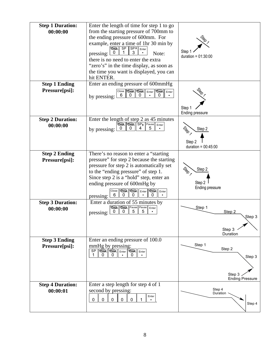| <b>Step 1 Duration:</b><br>00:00:00    | Enter the length of time for step 1 to go<br>from the starting pressure of 700mm to<br>the ending pressure of 600mm. For<br>example, enter a time of 1hr 30 min by<br>SP ∥SP∤<br><b>Tata</b><br>Enter                                                                                                                                             | Step                                                           |
|----------------------------------------|---------------------------------------------------------------------------------------------------------------------------------------------------------------------------------------------------------------------------------------------------------------------------------------------------------------------------------------------------|----------------------------------------------------------------|
|                                        | pressing:<br>Note:<br>there is no need to enter the extra<br>"zero's" in the time display, as soon as<br>the time you want is displayed, you can<br>hit ENTER.                                                                                                                                                                                    | duration = $01:30:00$                                          |
| <b>Step 1 Ending</b><br>Pressure[psi]: | Enter an ending pressure of 600mmHg<br>$Close$ $\boxed{\text{Case}}$<br><b>Tata</b> Enter<br>$\parallel$ Enter<br>6<br>0<br>$\Omega$<br>by pressing:                                                                                                                                                                                              | Step 1<br>Ending pressure                                      |
| <b>Step 2 Duration:</b><br>00:00:00    | Enter the length of step 2 as 45 minutes<br><b>TORR SP Pause Enter</b><br>5<br>by pressing:                                                                                                                                                                                                                                                       | Step 2<br>Step 2<br>duration = $00:45:00$                      |
| <b>Step 2 Ending</b><br>Pressure[psi]: | There's no reason to enter a "starting<br>pressure" for step 2 because the starting<br>pressure for step 2 is automatically set<br>to the "ending pressure" of step 1.<br>Since step 2 is a "hold" step, enter an<br>ending pressure of 600mHg by<br><b>TOOR TOOR !!</b><br>Close<br><b>TOBRA</b> Enter<br>Enter<br>6<br>0<br>0<br>0<br>pressing: | Step 2<br>Step 2<br>Ending pressure                            |
| <b>Step 3 Duration:</b><br>00:00:00    | Enter a duration of 55 minutes by<br><b>The Table Pause Pause</b><br>Enter<br>5<br>pressing:                                                                                                                                                                                                                                                      | Step 1<br>Step 2<br>Step 3<br>Step 3<br>Duration               |
| <b>Step 3 Ending</b><br>Pressure[psi]: | Enter an ending pressure of 100.0<br>mmHg by pressing:<br>$\overline{\text{SP}}$<br><b>TOOK TOOK</b><br><b>TOBR</b> Enter<br>   Enter                                                                                                                                                                                                             | Step 1<br>Step 2<br>Step 3<br>Step 3<br><b>Ending Pressure</b> |
| <b>Step 4 Duration:</b><br>00:00:01    | Enter a step length for step 4 of 1<br>second by pressing:<br>Enter<br>0<br>0<br>$\mathbf{0}$<br>0<br>0                                                                                                                                                                                                                                           | Step 4<br>Duration<br>Step 4                                   |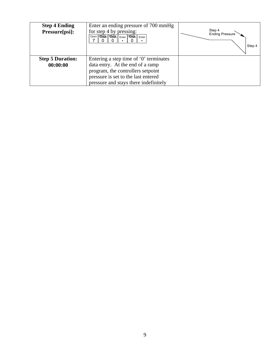| <b>Step 4 Ending</b><br>Pressure[psi]: | Enter an ending pressure of 700 mmHg<br>for step 4 by pressing:<br>Open TO BR TO BR Enter TO BR Enter                                                                                                | Step 4<br><b>Ending Pressure</b><br>Step 4 |
|----------------------------------------|------------------------------------------------------------------------------------------------------------------------------------------------------------------------------------------------------|--------------------------------------------|
| <b>Step 5 Duration:</b><br>00:00:00    | Entering a step time of $\theta$ terminates<br>data entry. At the end of a ramp<br>program, the controllers setpoint<br>pressure is set to the last entered<br>pressure and stays there indefinitely |                                            |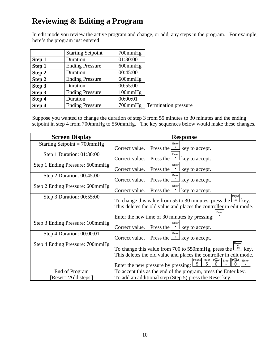### **Reviewing & Editing a Program**

In edit mode you review the active program and change, or add, any steps in the program. For example, here's the program just entered

|        | <b>Starting Setpoint</b> | 700mmHg       |                             |
|--------|--------------------------|---------------|-----------------------------|
| Step 1 | Duration                 | 01:30:00      |                             |
| Step 1 | <b>Ending Pressure</b>   | $600$ mm $Hg$ |                             |
| Step 2 | Duration                 | 00:45:00      |                             |
| Step 2 | <b>Ending Pressure</b>   | $600$ mm $Hg$ |                             |
| Step 3 | Duration                 | 00:55:00      |                             |
| Step 3 | <b>Ending Pressure</b>   | 100mmHg       |                             |
| Step 4 | Duration                 | 00:00:01      |                             |
| Step 4 | <b>Ending Pressure</b>   | 700mmHg       | <b>Termination</b> pressure |

Suppose you wanted to change the duration of step 3 from 55 minutes to 30 minutes and the ending setpoint in step 4 from 700mmHg to 550mmHg. The key sequences below would make these changes.

| <b>Screen Display</b>           | <b>Response</b>                                                                                                                                                                                                                                        |  |  |
|---------------------------------|--------------------------------------------------------------------------------------------------------------------------------------------------------------------------------------------------------------------------------------------------------|--|--|
| Starting Setpoint = $700$ mmHg  | Enter<br>Correct value. Press the $\Box$ key to accept.                                                                                                                                                                                                |  |  |
| Step 1 Duration: 01:30:00       | Enter<br>Press the $\Box$ key to accept.<br>Correct value.                                                                                                                                                                                             |  |  |
| Step 1 Ending Pressure: 600mmHg | Enter<br>Correct value.<br>Press the L<br><b>COLL</b><br>key to accept.                                                                                                                                                                                |  |  |
| Step 2 Duration: $00:45:00$     | Enter<br>Press the $\Box$ key to accept.<br>Correct value.                                                                                                                                                                                             |  |  |
| Step 2 Ending Pressure: 600mmHg | Enter<br>Press the $\Box$ key to accept.<br>Correct value.                                                                                                                                                                                             |  |  |
| Step 3 Duration: 00:55:00       | Reset<br>To change this value from 55 to 30 minutes, press the $\lfloor \frac{D\omega}{L} \rfloor$ key.<br>This deletes the old value and places the controller in edit mode.<br>Enter<br>Enter the new time of 30 minutes by pressing:                |  |  |
| Step 3 Ending Pressure: 100mmHg | Enter<br>Correct value. Press the $\Box$ key to accept.                                                                                                                                                                                                |  |  |
| Step 4 Duration: 00:00:01       | Enter<br>Press the $\Box$ key to accept.<br>Correct value.                                                                                                                                                                                             |  |  |
| Step 4 Ending Pressure: 700mmHg | Reset<br>To change this value from 700 to 550mmHg, press the $\Box$ ed key.<br>This deletes the old value and places the controller in edit mode.<br>Pause Pause Gall Enter<br><b>TOBR</b> Enter<br>5<br>5<br>0<br>Enter the new pressure by pressing: |  |  |
| End of Program                  | To accept this as the end of the program, press the Enter key.                                                                                                                                                                                         |  |  |
| [Reset= 'Add steps']            | To add an additional step (Step 5) press the Reset key.                                                                                                                                                                                                |  |  |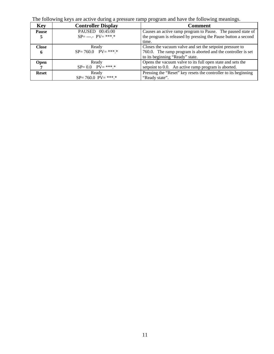The following keys are active during a pressure ramp program and have the following meanings.

| <b>Key</b>        | <b>Controller Display</b>               | <b>Comment</b>                                                                                                                                              |
|-------------------|-----------------------------------------|-------------------------------------------------------------------------------------------------------------------------------------------------------------|
| <b>Pause</b><br>5 | PAUSED 00:45:00<br>$SP = ---$ PV= ***.* | Causes an active ramp program to Pause. The paused state of<br>the program is released by pressing the Pause button a second<br>time.                       |
| <b>Close</b><br>6 | Ready<br>$SP = 760.0$ $PV = ***$        | Closes the vacuum valve and set the setpoint pressure to<br>760.0. The ramp program is aborted and the controller is set<br>to its beginning "Ready" state. |
| <b>Open</b>       | Ready<br>$SP = 0.0$ $PV = ***.*$        | Opens the vacuum valve to its full open state and sets the<br>setpoint to 0.0. An active ramp program is aborted.                                           |
| <b>Reset</b>      | Ready<br>$SP = 760.0$ $PV = ****.*$     | Pressing the "Reset" key resets the controller to its beginning<br>"Ready state".                                                                           |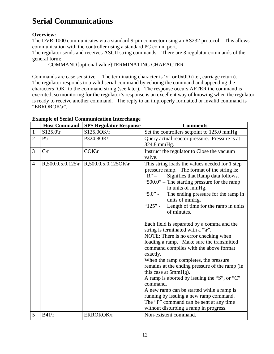## **Serial Communications**

#### **Overview:**

The DVR-1000 communicates via a standard 9-pin connector using an RS232 protocol. This allows communication with the controller using a standard PC comm port.

The regulator sends and receives ASCII string commands. There are 3 regulator commands of the general form:

COMMAND{optional value}TERMINATING CHARACTER

Commands are case sensitive. The terminating character is '\r' or 0x0D (i.e., carriage return). The regulator responds to a valid serial command by echoing the command and appending the characters 'OK' to the command string (see later). The response occurs AFTER the command is executed, so monitoring for the regulator's response is an excellent way of knowing when the regulator is ready to receive another command. The reply to an improperly formatted or invalid command is "ERROROK\r".

|                | <b>Host Command</b> | <b>SPS Regulator Response</b>                  | <b>Comments</b>                                                                                                                                                                                                                                                                                                                                                                                                                                                                                                                                                                                                                                                                                                                                                                                                                                                                                                                                                           |
|----------------|---------------------|------------------------------------------------|---------------------------------------------------------------------------------------------------------------------------------------------------------------------------------------------------------------------------------------------------------------------------------------------------------------------------------------------------------------------------------------------------------------------------------------------------------------------------------------------------------------------------------------------------------------------------------------------------------------------------------------------------------------------------------------------------------------------------------------------------------------------------------------------------------------------------------------------------------------------------------------------------------------------------------------------------------------------------|
| $\mathbf{1}$   | $S125.0\text{r}$    | $S125.0OK\$ r                                  | Set the controllers setpoint to 125.0 mmHg                                                                                                                                                                                                                                                                                                                                                                                                                                                                                                                                                                                                                                                                                                                                                                                                                                                                                                                                |
| $\overline{2}$ | $P\backslash r$     | P324.8OK\r                                     | Query actual reactor pressure. Pressure is at<br>324.8 mmHg.                                                                                                                                                                                                                                                                                                                                                                                                                                                                                                                                                                                                                                                                                                                                                                                                                                                                                                              |
| 3              | $C\setminus r$      | $COK\$                                         | Instruct the regulator to Close the vacuum<br>valve.                                                                                                                                                                                                                                                                                                                                                                                                                                                                                                                                                                                                                                                                                                                                                                                                                                                                                                                      |
| $\overline{4}$ |                     | $R,500.0,5.0,125$   $R,500.0,5.0,1250$ K   $r$ | This string loads the values needed for 1 step<br>pressure ramp. The format of the string is:<br>" $R" -$<br>Signifies that Ramp data follows.<br>" $500.0$ " – The starting pressure for the ramp<br>in units of mmHg.<br>" $5.0"$ -<br>The ending pressure for the ramp in<br>units of mmHg.<br>" $125"$ -<br>Length of time for the ramp in units<br>of minutes.<br>Each field is separated by a comma and the<br>string is terminated with a " $\mathbf{r}$ ".<br>NOTE: There is no error checking when<br>loading a ramp. Make sure the transmitted<br>command complies with the above format<br>exactly.<br>When the ramp completes, the pressure<br>remains at the ending pressure of the ramp (in<br>this case at 5mmHg).<br>A ramp is aborted by issuing the "S", or "C"<br>command.<br>A new ramp can be started while a ramp is<br>running by issuing a new ramp command.<br>The "P" command can be sent at any time<br>without disturbing a ramp in progress. |
| 5              | $B41\$              | ERROROK\r                                      | Non-existent command.                                                                                                                                                                                                                                                                                                                                                                                                                                                                                                                                                                                                                                                                                                                                                                                                                                                                                                                                                     |

#### **Example of Serial Communication Interchange**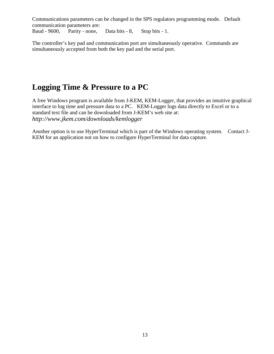Communications parameters can be changed in the SPS regulators programming mode. Default communication parameters are:

Baud - 9600, Parity - none, Data bits - 8, Stop bits - 1.

The controller's key pad and communication port are simultaneously operative. Commands are simultaneously accepted from both the key pad and the serial port.

### **Logging Time & Pressure to a PC**

A free Windows program is available from J-KEM, KEM-Logger, that provides an intuitive graphical interface to log time and pressure data to a PC. KEM-Logger logs data directly to Excel or to a standard text file and can be downloaded from J-KEM's web site at: *http://www.jkem.com/downloads/kemlogger*

Another option is to use HyperTerminal which is part of the Windows operating system. Contact J-KEM for an application not on how to configure HyperTerminal for data capture.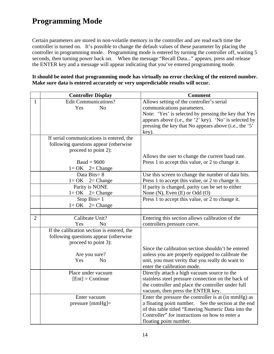## **Programming Mode**

Certain parameters are stored in non-volatile memory in the controller and are read each time the controller is turned on. It's possible to change the default values of these parameter by placing the controller in programming mode. Programming mode is entered by turning the controller off, waiting 5 seconds, then turning power back on. When the message "Recall Data..." appears, press and release the ENTER key and a message will appear indicating that you've entered programming mode.

|                | <b>Controller Display</b>                  | <b>Comment</b>                                         |
|----------------|--------------------------------------------|--------------------------------------------------------|
| $\mathbf{1}$   | <b>Edit Communications?</b>                | Allows setting of the controller's serial              |
|                | Yes<br>N <sub>o</sub>                      | communications parameters.                             |
|                |                                            | Note: 'Yes' is selected by pressing the key that Yes   |
|                |                                            | appears above (i.e., the '2' key). 'No' is selected by |
|                |                                            | pressing the key that No appears above (i.e., the '5'  |
|                |                                            | key).                                                  |
|                | If serial communications is entered, the   |                                                        |
|                | following questions appear (otherwise      |                                                        |
|                | proceed to point 2):                       |                                                        |
|                |                                            | Allows the user to change the current baud rate.       |
|                | $Baud = 9600$                              | Press 1 to accept this value, or 2 to change it.       |
|                | $1 = OK$ $2 = Change$                      |                                                        |
|                | Data Bits= $8$                             | Use this screen to change the number of data bits.     |
|                | $1 = OK$ $2 = Change$                      | Press 1 to accept this value, or 2 to change it.       |
|                | Parity is NONE                             | If parity is changed, parity can be set to either      |
|                | $1 = OK$ $2 = Change$                      | None $(N)$ , Even $(E)$ or Odd $(O)$                   |
|                | Stop Bits= $1$                             | Press 1 to accept this value, or 2 to change it.       |
|                | $1 = OK$ $2 = Change$                      |                                                        |
|                |                                            |                                                        |
| $\overline{2}$ | Calibrate Unit?                            | Entering this section allows calibration of the        |
|                | Yes<br>N <sub>o</sub>                      | controllers pressure curve.                            |
|                | If the calibration section is entered, the |                                                        |
|                | following questions appear (otherwise      |                                                        |
|                | proceed to point 3):                       |                                                        |
|                |                                            | Since the calibration section shouldn't be entered     |
|                | Are you sure?                              | unless you are properly equipped to calibrate the      |
|                | Yes<br>N <sub>o</sub>                      | unit, you must verity that you really do want to       |
|                |                                            | enter the calibration mode.                            |
|                | Place under vacuum                         | Directly attach a high vacuum source to the            |
|                | $[Ent] =$ Continue                         | stainless steel pressure connection on the back of     |
|                |                                            | the controller and place the controller under full     |
|                |                                            | vacuum, then press the ENTER key.                      |
|                | Enter vacuum                               | Enter the pressure the controller is at (in mmHg) as   |
|                | $pressure [mmHg]=$                         | a floating point number. See the section at the end    |

**It should be noted that programming mode has virtually no error checking of the entered number. Make sure data is entered accurately or very unpredictable results will occur.** 

floating point number.

of this table titled "Entering Numeric Data into the Controller" for instructions on how to enter a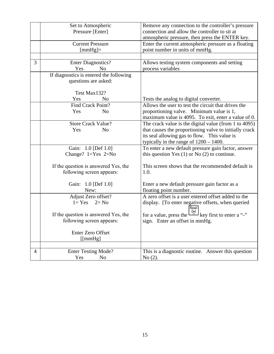|   | Set to Atmospheric                      | Remove any connection to the controller's pressure                                                |
|---|-----------------------------------------|---------------------------------------------------------------------------------------------------|
|   | Pressure [Enter]                        | connection and allow the controller to sit at                                                     |
|   |                                         | atmospheric pressure, then press the ENTER key.                                                   |
|   |                                         |                                                                                                   |
|   | <b>Current Pressure</b>                 | Enter the current atmospheric pressure as a floating                                              |
|   | $[mmHg]=$                               | point number in units of mmHg.                                                                    |
|   |                                         |                                                                                                   |
| 3 | <b>Enter Diagnostics?</b>               | Allows testing system components and setting                                                      |
|   | Yes<br>No                               | process variables                                                                                 |
|   | If diagnostics is entered the following |                                                                                                   |
|   |                                         |                                                                                                   |
|   | questions are asked:                    |                                                                                                   |
|   |                                         |                                                                                                   |
|   | Test Max132?                            |                                                                                                   |
|   | Yes<br>N <sub>0</sub>                   | Tests the analog to digital converter.                                                            |
|   | Find Crack Point?                       | Allows the user to test the circuit that drives the                                               |
|   | N <sub>o</sub><br>Yes                   | proportioning valve. Minimum value is 1,                                                          |
|   |                                         | maximum value is 4095. To exit, enter a value of 0.                                               |
|   | <b>Store Crack Value?</b>               | The crack value is the digital value (from 1 to 4095)                                             |
|   | Yes                                     |                                                                                                   |
|   | N <sub>o</sub>                          | that causes the proportioning valve to initially crack                                            |
|   |                                         | its seal allowing gas to flow. This value is                                                      |
|   |                                         | typically in the range of $1200 - 1400$ .                                                         |
|   | Gain: 1.0 [Def 1.0]                     | To enter a new default pressure gain factor, answer                                               |
|   | Change? $1 = Yes$ $2 = No$              | this question Yes $(1)$ or No $(2)$ to continue.                                                  |
|   |                                         |                                                                                                   |
|   | If the question is answered Yes, the    | This screen shows that the recommended default is                                                 |
|   | following screen appears:               | 1.0.                                                                                              |
|   |                                         |                                                                                                   |
|   | Gain: 1.0 [Def 1.0]                     | Enter a new default pressure gain factor as a                                                     |
|   | New:                                    | floating point number.                                                                            |
|   | Adjust Zero offset?                     | A zero offset is a user entered offset added to the                                               |
|   | $1 = Yes$ $2 = No$                      | display. [To enter negative offsets, when queried                                                 |
|   |                                         | Reset                                                                                             |
|   | If the question is answered Yes, the    | for a value, press the $\frac{\log  \mathbf{p}_e }{\log  \mathbf{p}_e }$ key first to enter a "-" |
|   |                                         |                                                                                                   |
|   | following screen appears:               | sign. Enter an offset in mmHg.                                                                    |
|   | <b>Enter Zero Offset</b>                |                                                                                                   |
|   |                                         |                                                                                                   |
|   | $[{\text{mmHg}}]$                       |                                                                                                   |
|   |                                         |                                                                                                   |
| 4 | <b>Enter Testing Mode?</b>              | This is a diagnostic routine. Answer this question                                                |
|   | Yes<br>N <sub>0</sub>                   | No(2).                                                                                            |